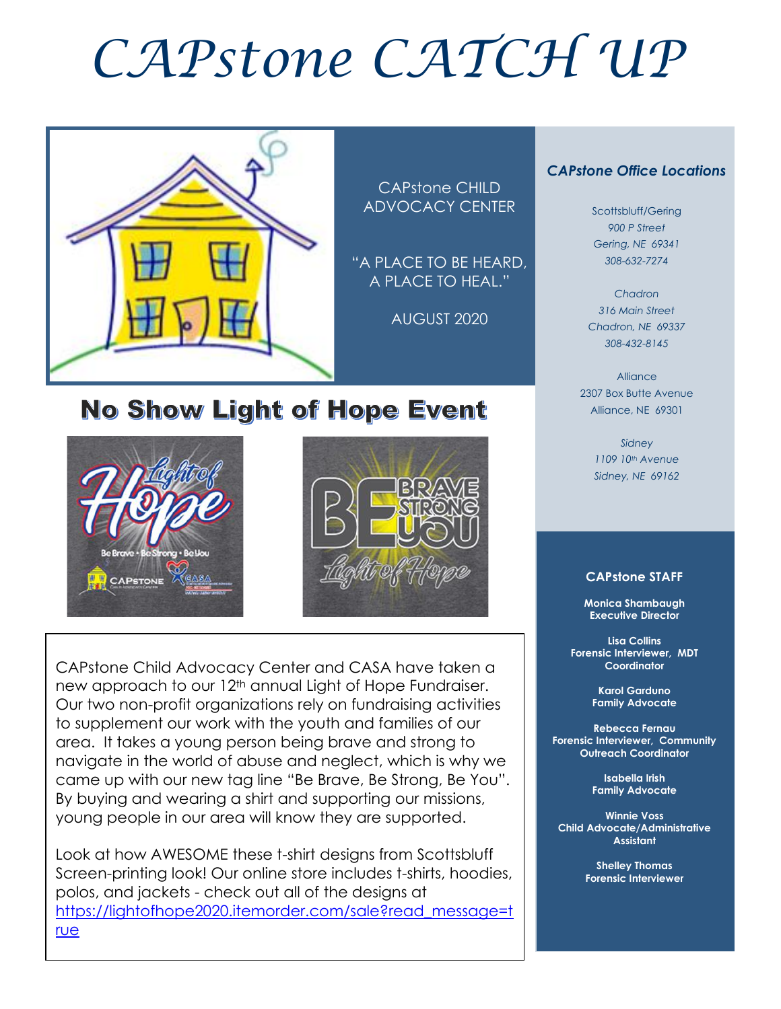# *CAPstone CATCH UP*



CAPstone CHILD ADVOCACY CENTER

"A PLACE TO BE HEARD, A PLACE TO HEAL."

AUGUST 2020

#### *CAPstone Office Locations*

Scottsbluff/Gering *900 P Street Gering, NE 69341 308-632-7274*

*Chadron 316 Main Street Chadron, NE 69337 308-432-8145*

Alliance 2307 Box Butte Avenue Alliance, NE 69301

> *Sidney 1109 10th Avenue Sidney, NE 69162*

#### **CAPstone STAFF**

**Monica Shambaugh Executive Director**

**Lisa Collins Forensic Interviewer, MDT Coordinator**

> **Karol Garduno Family Advocate**

**Rebecca Fernau Forensic Interviewer, Community Outreach Coordinator**

> **Isabella Irish Family Advocate**

**Winnie Voss Child Advocate/Administrative Assistant**

> **Shelley Thomas Forensic Interviewer**

## **No Show Light of Hope Event**





CAPstone Child Advocacy Center and CASA have taken a new approach to our 12<sup>th</sup> annual Light of Hope Fundraiser. Our two non-profit organizations rely on fundraising activities to supplement our work with the youth and families of our area. It takes a young person being brave and strong to navigate in the world of abuse and neglect, which is why we came up with our new tag line "Be Brave, Be Strong, Be You". By buying and wearing a shirt and supporting our missions, young people in our area will know they are supported.

Look at how AWESOME these t-shirt designs from Scottsbluff Screen-printing look! Our online store includes t-shirts, hoodies, polos, and jackets - check out all of the designs at [https://lightofhope2020.itemorder.com/sale?read\\_message=t](file:///C:/Users/User/Desktop/newsletter/hyperlink.docx) [rue](file:///C:/Users/User/Desktop/newsletter/hyperlink.docx)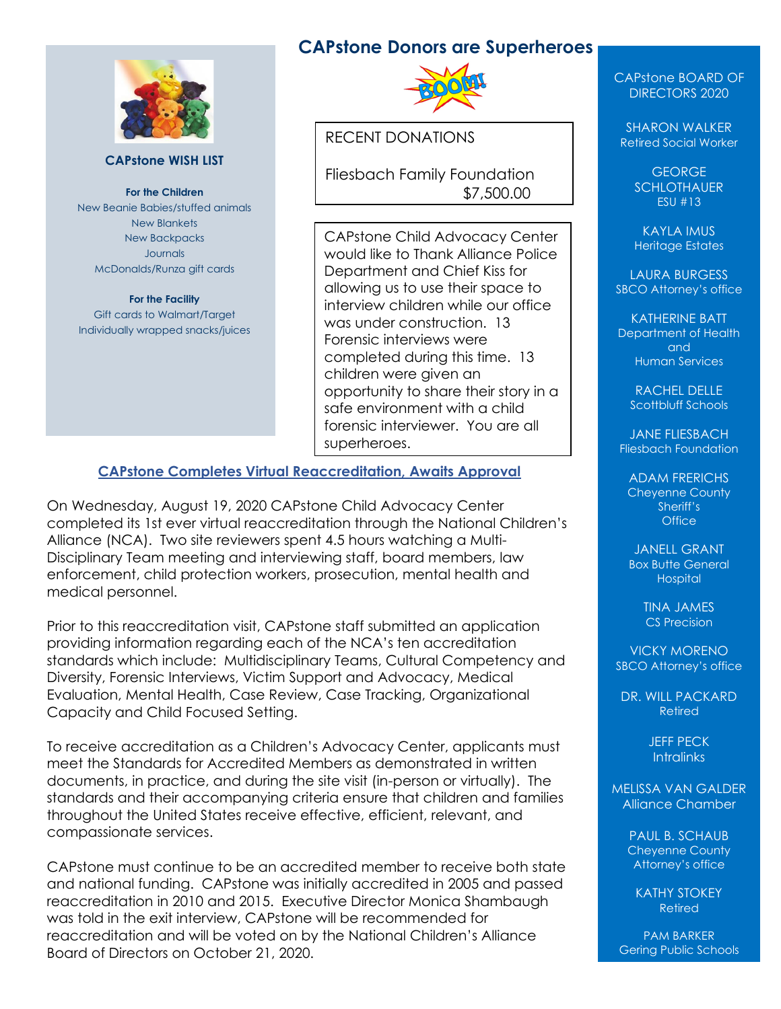

#### **CAPstone WISH LIST**

**For the Children** New Beanie Babies/stuffed animals New Blankets New Backpacks Journals McDonalds/Runza gift cards

#### **For the Facility** Gift cards to Walmart/Target Individually wrapped snacks/juices

#### **CAPstone Donors are Superheroes**



RECENT DONATIONS

Fliesbach Family Foundation \$7,500.00

CAPstone Child Advocacy Center would like to Thank Alliance Police Department and Chief Kiss for allowing us to use their space to interview children while our office was under construction. 13 Forensic interviews were completed during this time. 13 children were given an opportunity to share their story in a safe environment with a child forensic interviewer. You are all superheroes.

#### **CAPstone Completes Virtual Reaccreditation, Awaits Approval**

On Wednesday, August 19, 2020 CAPstone Child Advocacy Center completed its 1st ever virtual reaccreditation through the National Children's Alliance (NCA). Two site reviewers spent 4.5 hours watching a Multi-Disciplinary Team meeting and interviewing staff, board members, law enforcement, child protection workers, prosecution, mental health and medical personnel.

Prior to this reaccreditation visit, CAPstone staff submitted an application providing information regarding each of the NCA's ten accreditation standards which include: Multidisciplinary Teams, Cultural Competency and Diversity, Forensic Interviews, Victim Support and Advocacy, Medical Evaluation, Mental Health, Case Review, Case Tracking, Organizational Capacity and Child Focused Setting.

To receive accreditation as a Children's Advocacy Center, applicants must meet the Standards for Accredited Members as demonstrated in written documents, in practice, and during the site visit (in-person or virtually). The standards and their accompanying criteria ensure that children and families throughout the United States receive effective, efficient, relevant, and compassionate services.

CAPstone must continue to be an accredited member to receive both state and national funding. CAPstone was initially accredited in 2005 and passed reaccreditation in 2010 and 2015. Executive Director Monica Shambaugh was told in the exit interview, CAPstone will be recommended for reaccreditation and will be voted on by the National Children's Alliance Board of Directors on October 21, 2020.

#### CAPstone BOARD OF DIRECTORS 2020

SHARON WALKER Retired Social Worker

> GEORGE **SCHLOTHAUER** ESU #13

KAYLA IMUS Heritage Estates

LAURA BURGESS SBCO Attorney's office

KATHERINE BATT Department of Health and Human Services

RACHEL DELLE Scottbluff Schools

JANE FLIESBACH Fliesbach Foundation

ADAM FRERICHS Cheyenne County Sheriff's **Office** 

JANELL GRANT **Box Butte General Hospital** 

> TINA JAMES CS Precision

VICKY MORENO SBCO Attorney's office

DR. WILL PACKARD Retired

> JEFF PECK **Intralinks**

MELISSA VAN GALDER Alliance Chamber

> PAUL B. SCHAUB Cheyenne County Attorney's office

KATHY STOKEY Retired

PAM BARKER Gering Public Schools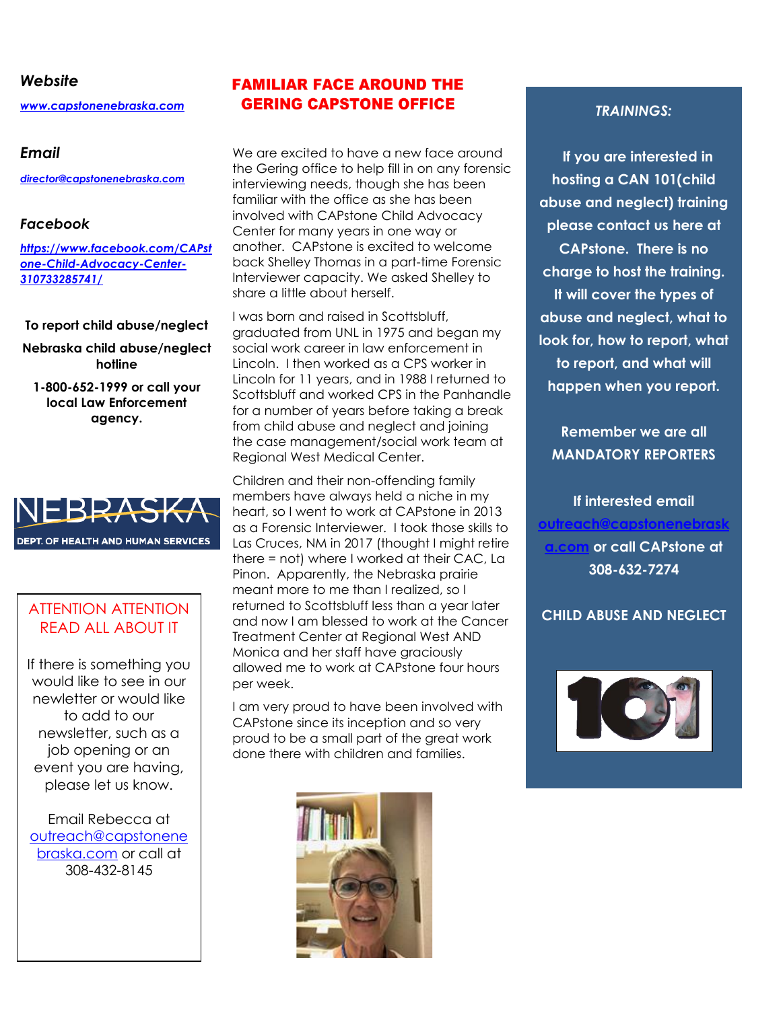#### *Website*

*[www.capstonenebraska.com](http://www.capstonenebraska.com/)*

#### *Email*

*[director@capstonenebraska.com](mailto:director@capstonenebraska.com)*

#### *Facebook*

*[https://www.facebook.com/CAPst](https://www.facebook.com/CAPstone-Child-Advocacy-Center-310733285741/) [one-Child-Advocacy-Center-](https://www.facebook.com/CAPstone-Child-Advocacy-Center-310733285741/)[310733285741/](https://www.facebook.com/CAPstone-Child-Advocacy-Center-310733285741/)*

#### **To report child abuse/neglect**

**Nebraska child abuse/neglect hotline**

**1-800-652-1999 or call your local Law Enforcement agency.**



#### ATTENTION ATTENTION READ ALL ABOUT IT

If there is something you would like to see in our newletter or would like to add to our newsletter, such as a job opening or an event you are having, please let us know.

Email Rebecca at [outreach@capstonene](mailto:outreach@capstonenebraska.com) [braska.com](mailto:outreach@capstonenebraska.com) or call at 308-432-8145

Page 2

#### **FAMILIAR FACE AROUND THE GERING CAPSTONE OFFICE**

We are excited to have a new face around the Gering office to help fill in on any forensic interviewing needs, though she has been familiar with the office as she has been involved with CAPstone Child Advocacy Center for many years in one way or another. CAPstone is excited to welcome back Shelley Thomas in a part-time Forensic Interviewer capacity. We asked Shelley to share a little about herself.

I was born and raised in Scottsbluff, graduated from UNL in 1975 and began my social work career in law enforcement in Lincoln. I then worked as a CPS worker in Lincoln for 11 years, and in 1988 I returned to Scottsbluff and worked CPS in the Panhandle for a number of years before taking a break from child abuse and neglect and joining the case management/social work team at Regional West Medical Center.

Children and their non-offending family members have always held a niche in my heart, so I went to work at CAPstone in 2013 as a Forensic Interviewer. I took those skills to Las Cruces, NM in 2017 (thought I might retire there = not) where I worked at their CAC, La Pinon. Apparently, the Nebraska prairie meant more to me than I realized, so I returned to Scottsbluff less than a year later and now I am blessed to work at the Cancer Treatment Center at Regional West AND Monica and her staff have graciously allowed me to work at CAPstone four hours per week.

I am very proud to have been involved with CAPstone since its inception and so very proud to be a small part of the great work done there with children and families.



#### *TRAININGS:*

 **If you are interested in hosting a CAN 101(child abuse and neglect) training please contact us here at CAPstone. There is no charge to host the training. It will cover the types of abuse and neglect, what to look for, how to report, what to report, and what will happen when you report.** 

**Remember we are all MANDATORY REPORTERS**

**If interested email [outreach@capstonenebrask](mailto:outreach@capstonenebraska.com) [a.com](mailto:outreach@capstonenebraska.com) or call CAPstone at 308-632-7274**

**CHILD ABUSE AND NEGLECT**

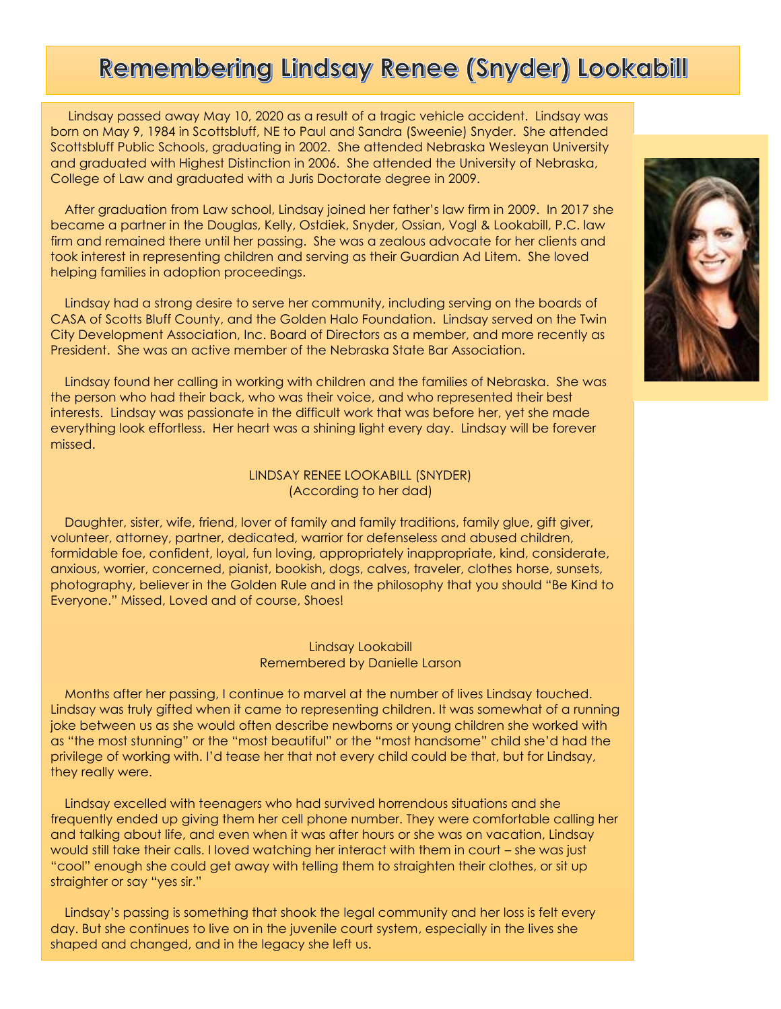## Remembering Lindsay Renee (Snyder) Lookabill

 Lindsay passed away May 10, 2020 as a result of a tragic vehicle accident. Lindsay was born on May 9, 1984 in Scottsbluff, NE to Paul and Sandra (Sweenie) Snyder. She attended Scottsbluff Public Schools, graduating in 2002. She attended Nebraska Wesleyan University and graduated with Highest Distinction in 2006. She attended the University of Nebraska, College of Law and graduated with a Juris Doctorate degree in 2009.

 After graduation from Law school, Lindsay joined her father's law firm in 2009. In 2017 she became a partner in the Douglas, Kelly, Ostdiek, Snyder, Ossian, Vogl & Lookabill, P.C. law firm and remained there until her passing. She was a zealous advocate for her clients and took interest in representing children and serving as their Guardian Ad Litem. She loved helping families in adoption proceedings.

 Lindsay had a strong desire to serve her community, including serving on the boards of CASA of Scotts Bluff County, and the Golden Halo Foundation. Lindsay served on the Twin City Development Association, Inc. Board of Directors as a member, and more recently as President. She was an active member of the Nebraska State Bar Association.

 Lindsay found her calling in working with children and the families of Nebraska. She was the person who had their back, who was their voice, and who represented their best interests. Lindsay was passionate in the difficult work that was before her, yet she made everything look effortless. Her heart was a shining light every day. Lindsay will be forever missed.

#### LINDSAY RENEE LOOKABILL (SNYDER) (According to her dad)

 Daughter, sister, wife, friend, lover of family and family traditions, family glue, gift giver, volunteer, attorney, partner, dedicated, warrior for defenseless and abused children, formidable foe, confident, loyal, fun loving, appropriately inappropriate, kind, considerate, anxious, worrier, concerned, pianist, bookish, dogs, calves, traveler, clothes horse, sunsets, photography, believer in the Golden Rule and in the philosophy that you should "Be Kind to Everyone." Missed, Loved and of course, Shoes!

#### Lindsay Lookabill Remembered by Danielle Larson

 Months after her passing, I continue to marvel at the number of lives Lindsay touched. Lindsay was truly gifted when it came to representing children. It was somewhat of a running joke between us as she would often describe newborns or young children she worked with as "the most stunning" or the "most beautiful" or the "most handsome" child she'd had the privilege of working with. I'd tease her that not every child could be that, but for Lindsay, they really were.

 Lindsay excelled with teenagers who had survived horrendous situations and she frequently ended up giving them her cell phone number. They were comfortable calling her and talking about life, and even when it was after hours or she was on vacation, Lindsay would still take their calls. I loved watching her interact with them in court – she was just "cool" enough she could get away with telling them to straighten their clothes, or sit up straighter or say "yes sir."

 Lindsay's passing is something that shook the legal community and her loss is felt every day. But she continues to live on in the juvenile court system, especially in the lives she shaped and changed, and in the legacy she left us.

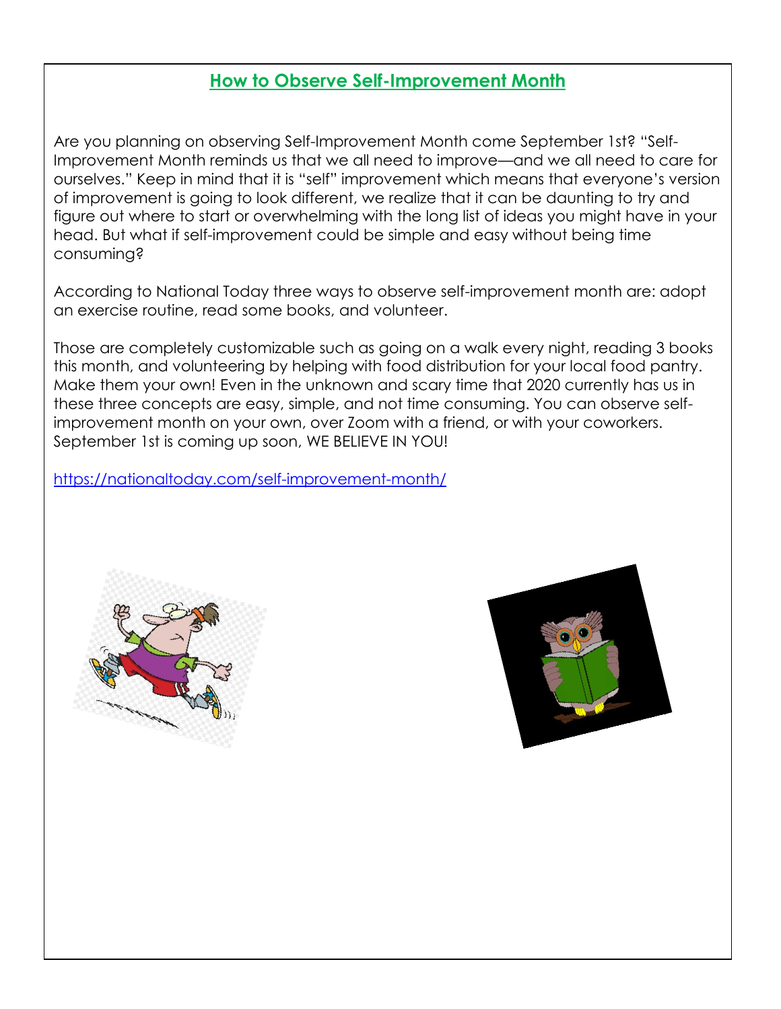#### **How to Observe Self-Improvement Month**

Are you planning on observing Self-Improvement Month come September 1st? "Self-Improvement Month reminds us that we all need to improve—and we all need to care for ourselves." Keep in mind that it is "self" improvement which means that everyone's version of improvement is going to look different, we realize that it can be daunting to try and figure out where to start or overwhelming with the long list of ideas you might have in your head. But what if self-improvement could be simple and easy without being time consuming?

According to National Today three ways to observe self-improvement month are: adopt an exercise routine, read some books, and volunteer.

Those are completely customizable such as going on a walk every night, reading 3 books this month, and volunteering by helping with food distribution for your local food pantry. Make them your own! Even in the unknown and scary time that 2020 currently has us in these three concepts are easy, simple, and not time consuming. You can observe selfimprovement month on your own, over Zoom with a friend, or with your coworkers. September 1st is coming up soon, WE BELIEVE IN YOU!

<https://nationaltoday.com/self-improvement-month/>



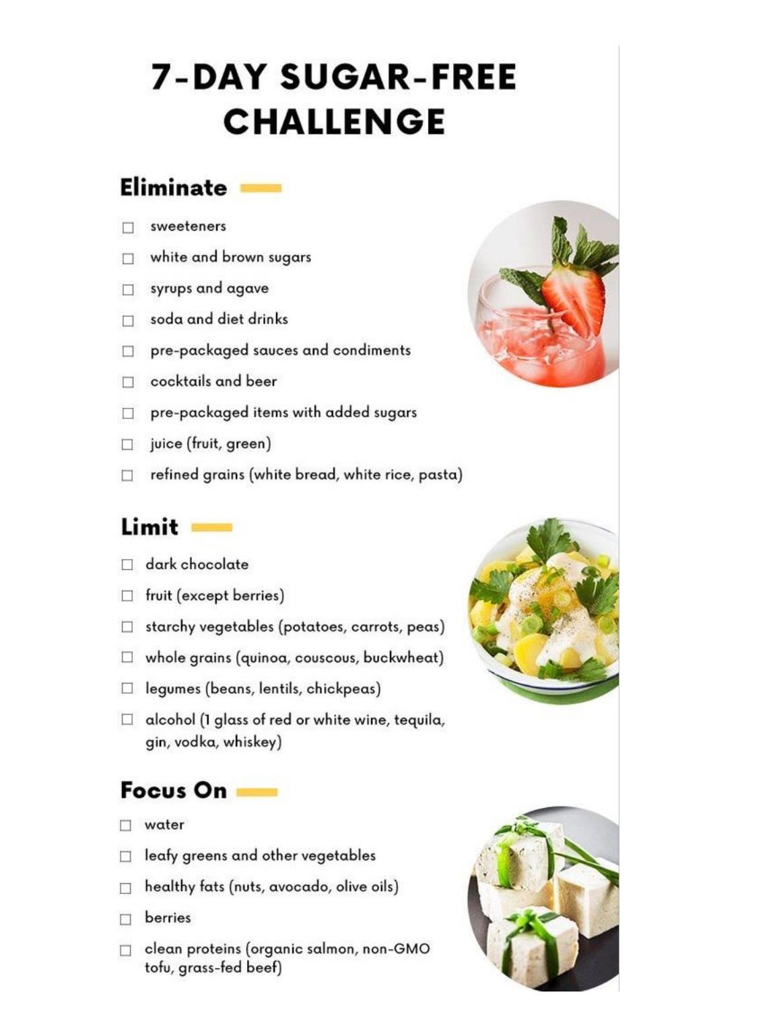## **7-DAY SUGAR-FREE CHALLENGE**

### **Eliminate**

- sweeteners П
- white and brown sugars  $\Box$
- syrups and agave П
- soda and diet drinks П
- pre-packaged sauces and condiments  $\Box$
- cocktails and beer П
- pre-packaged items with added sugars  $\Box$
- juice (fruit, green)  $\Box$
- refined grains (white bread, white rice, pasta)  $\Box$

## Limit

- $\Box$  dark chocolate
- $\Box$  fruit (except berries)
- $\Box$  starchy vegetables (potatoes, carrots, peas)
- $\Box$  whole grains (quinoa, couscous, buckwheat)
- $\Box$  legumes (beans, lentils, chickpeas)
- $\Box$  alcohol (1 glass of red or white wine, tequila, gin, vodka, whiskey)

## Focus On

- $\Box$  water
- $\Box$  leafy greens and other vegetables
- $\Box$  healthy fats (nuts, avocado, olive oils)
- berries  $\Box$
- clean proteins (organic salmon, non-GMO tofu, grass-fed beef)



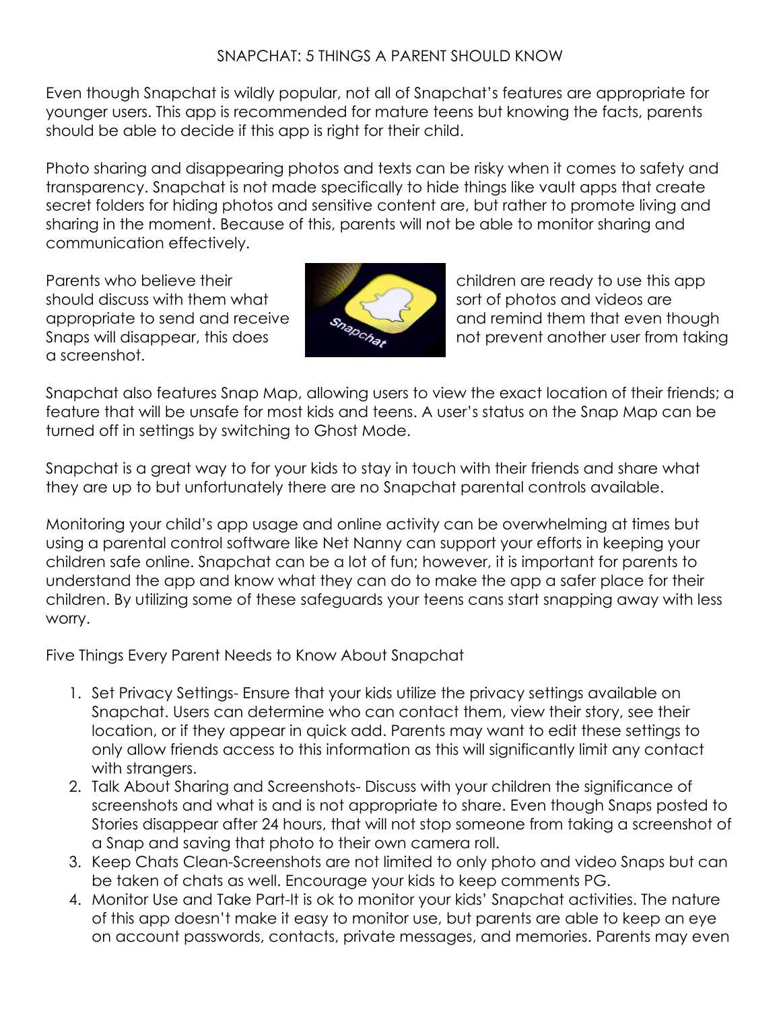#### SNAPCHAT: 5 THINGS A PARENT SHOULD KNOW

Even though Snapchat is wildly popular, not all of Snapchat's features are appropriate for younger users. This app is recommended for mature teens but knowing the facts, parents should be able to decide if this app is right for their child.

Photo sharing and disappearing photos and texts can be risky when it comes to safety and transparency. Snapchat is not made specifically to hide things like vault apps that create secret folders for hiding photos and sensitive content are, but rather to promote living and sharing in the moment. Because of this, parents will not be able to monitor sharing and communication effectively.

should discuss with them what sort of photos and videos are a screenshot.



Parents who believe their children are ready to use this app appropriate to send and receive  $\theta$  and remind them that even though Snaps will disappear, this does not prevent another user from taking

Snapchat also features Snap Map, allowing users to view the exact location of their friends; a feature that will be unsafe for most kids and teens. A user's status on the Snap Map can be turned off in settings by switching to Ghost Mode.

Snapchat is a great way to for your kids to stay in touch with their friends and share what they are up to but unfortunately there are no Snapchat parental controls available.

Monitoring your child's app usage and online activity can be overwhelming at times but using a parental control software like Net Nanny can support your efforts in keeping your children safe online. Snapchat can be a lot of fun; however, it is important for parents to understand the app and know what they can do to make the app a safer place for their children. By utilizing some of these safeguards your teens cans start snapping away with less worry.

Five Things Every Parent Needs to Know About Snapchat

- 1. Set Privacy Settings- Ensure that your kids utilize the privacy settings available on Snapchat. Users can determine who can contact them, view their story, see their location, or if they appear in quick add. Parents may want to edit these settings to only allow friends access to this information as this will significantly limit any contact with strangers.
- 2. Talk About Sharing and Screenshots- Discuss with your children the significance of screenshots and what is and is not appropriate to share. Even though Snaps posted to Stories disappear after 24 hours, that will not stop someone from taking a screenshot of a Snap and saving that photo to their own camera roll.
- 3. Keep Chats Clean-Screenshots are not limited to only photo and video Snaps but can be taken of chats as well. Encourage your kids to keep comments PG.
- 4. Monitor Use and Take Part-It is ok to monitor your kids' Snapchat activities. The nature of this app doesn't make it easy to monitor use, but parents are able to keep an eye on account passwords, contacts, private messages, and memories. Parents may even